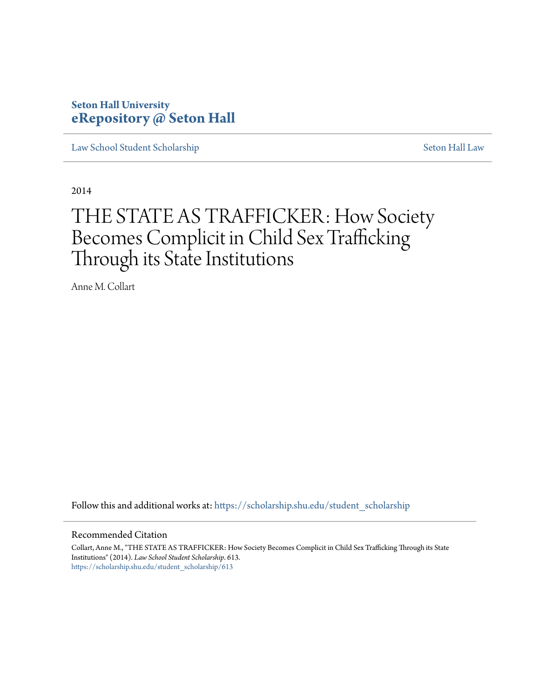## **Seton Hall University [eRepository @ Seton Hall](https://scholarship.shu.edu?utm_source=scholarship.shu.edu%2Fstudent_scholarship%2F613&utm_medium=PDF&utm_campaign=PDFCoverPages)**

[Law School Student Scholarship](https://scholarship.shu.edu/student_scholarship?utm_source=scholarship.shu.edu%2Fstudent_scholarship%2F613&utm_medium=PDF&utm_campaign=PDFCoverPages) [Seton Hall Law](https://scholarship.shu.edu/law?utm_source=scholarship.shu.edu%2Fstudent_scholarship%2F613&utm_medium=PDF&utm_campaign=PDFCoverPages)

2014

# THE STATE AS TRAFFICKER: How Society Becomes Complicit in Child Sex Trafficking Through its State Institutions

Anne M. Collart

Follow this and additional works at: [https://scholarship.shu.edu/student\\_scholarship](https://scholarship.shu.edu/student_scholarship?utm_source=scholarship.shu.edu%2Fstudent_scholarship%2F613&utm_medium=PDF&utm_campaign=PDFCoverPages)

#### Recommended Citation

Collart, Anne M., "THE STATE AS TRAFFICKER: How Society Becomes Complicit in Child Sex Trafficking Through its State Institutions" (2014). *Law School Student Scholarship*. 613. [https://scholarship.shu.edu/student\\_scholarship/613](https://scholarship.shu.edu/student_scholarship/613?utm_source=scholarship.shu.edu%2Fstudent_scholarship%2F613&utm_medium=PDF&utm_campaign=PDFCoverPages)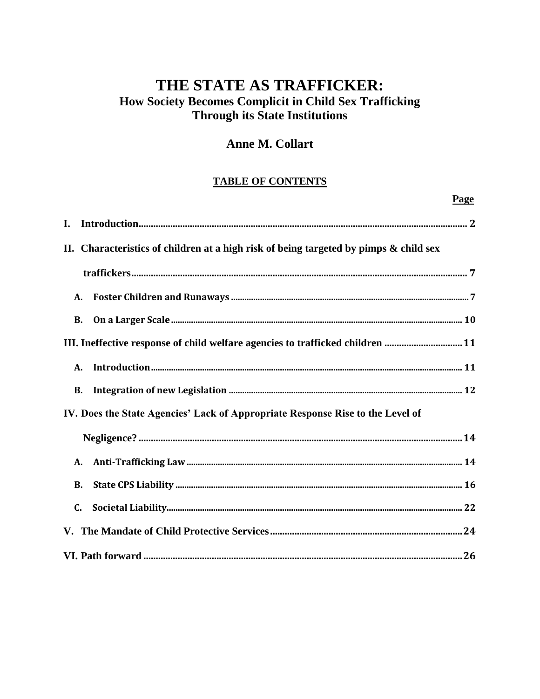# THE STATE AS TRAFFICKER: How Society Becomes Complicit in Child Sex Trafficking **Through its State Institutions**

# **Anne M. Collart**

### **TABLE OF CONTENTS**

Page

| $\mathbf{I}$ .                                                                           |  |
|------------------------------------------------------------------------------------------|--|
| II. Characteristics of children at a high risk of being targeted by pimps $\&$ child sex |  |
|                                                                                          |  |
| А.                                                                                       |  |
| <b>B.</b>                                                                                |  |
| III. Ineffective response of child welfare agencies to trafficked children  11           |  |
| A.                                                                                       |  |
| <b>B.</b>                                                                                |  |
| IV. Does the State Agencies' Lack of Appropriate Response Rise to the Level of           |  |
|                                                                                          |  |
| A.                                                                                       |  |
| <b>B.</b>                                                                                |  |
| C.                                                                                       |  |
|                                                                                          |  |
|                                                                                          |  |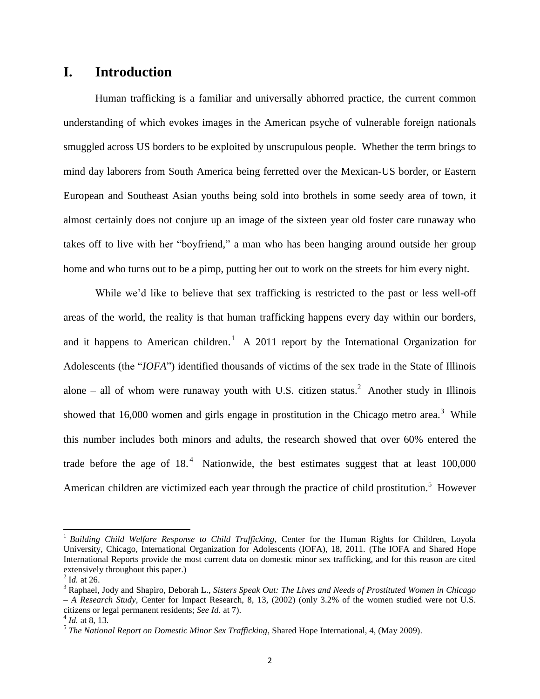### **I. Introduction**

Human trafficking is a familiar and universally abhorred practice, the current common understanding of which evokes images in the American psyche of vulnerable foreign nationals smuggled across US borders to be exploited by unscrupulous people. Whether the term brings to mind day laborers from South America being ferretted over the Mexican-US border, or Eastern European and Southeast Asian youths being sold into brothels in some seedy area of town, it almost certainly does not conjure up an image of the sixteen year old foster care runaway who takes off to live with her "boyfriend," a man who has been hanging around outside her group home and who turns out to be a pimp, putting her out to work on the streets for him every night.

While we'd like to believe that sex trafficking is restricted to the past or less well-off areas of the world, the reality is that human trafficking happens every day within our borders, and it happens to American children.<sup>1</sup> A 2011 report by the International Organization for Adolescents (the "*IOFA*") identified thousands of victims of the sex trade in the State of Illinois alone – all of whom were runaway youth with U.S. citizen status.<sup>2</sup> Another study in Illinois showed that  $16,000$  women and girls engage in prostitution in the Chicago metro area.<sup>3</sup> While this number includes both minors and adults, the research showed that over 60% entered the trade before the age of  $18<sup>4</sup>$ . Nationwide, the best estimates suggest that at least  $100,000$ American children are victimized each year through the practice of child prostitution.<sup>5</sup> However

<sup>&</sup>lt;sup>1</sup> Building Child Welfare Response to Child Trafficking, Center for the Human Rights for Children, Loyola University, Chicago, International Organization for Adolescents (IOFA), 18, 2011. (The IOFA and Shared Hope International Reports provide the most current data on domestic minor sex trafficking, and for this reason are cited extensively throughout this paper.)

<sup>2</sup> I*d.* at 26.

<sup>3</sup> Raphael, Jody and Shapiro, Deborah L., *Sisters Speak Out: The Lives and Needs of Prostituted Women in Chicago – A Research Study*, Center for Impact Research, 8, 13, (2002) (only 3.2% of the women studied were not U.S. citizens or legal permanent residents; *See Id.* at 7).

 $^{4}$  *Id.* at 8, 13.

<sup>5</sup> *The National Report on Domestic Minor Sex Trafficking*, Shared Hope International, 4, (May 2009).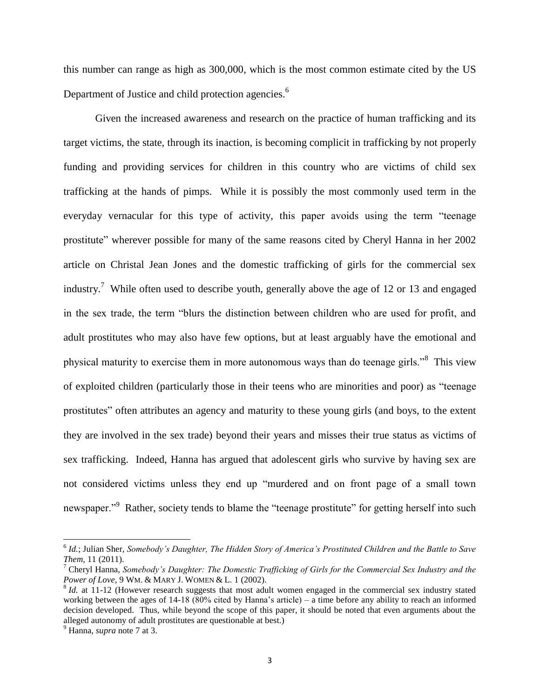this number can range as high as 300,000, which is the most common estimate cited by the US Department of Justice and child protection agencies.<sup>6</sup>

Given the increased awareness and research on the practice of human trafficking and its target victims, the state, through its inaction, is becoming complicit in trafficking by not properly funding and providing services for children in this country who are victims of child sex trafficking at the hands of pimps. While it is possibly the most commonly used term in the everyday vernacular for this type of activity, this paper avoids using the term "teenage prostitute" wherever possible for many of the same reasons cited by Cheryl Hanna in her 2002 article on Christal Jean Jones and the domestic trafficking of girls for the commercial sex industry.<sup>7</sup> While often used to describe youth, generally above the age of 12 or 13 and engaged in the sex trade, the term "blurs the distinction between children who are used for profit, and adult prostitutes who may also have few options, but at least arguably have the emotional and physical maturity to exercise them in more autonomous ways than do teenage girls."<sup>8</sup> This view of exploited children (particularly those in their teens who are minorities and poor) as "teenage prostitutes" often attributes an agency and maturity to these young girls (and boys, to the extent they are involved in the sex trade) beyond their years and misses their true status as victims of sex trafficking. Indeed, Hanna has argued that adolescent girls who survive by having sex are not considered victims unless they end up "murdered and on front page of a small town newspaper."<sup>9</sup> Rather, society tends to blame the "teenage prostitute" for getting herself into such

<sup>6</sup> *Id.*; Julian Sher, *Somebody's Daughter, The Hidden Story of America's Prostituted Children and the Battle to Save Them*, 11 (2011).

<sup>7</sup> Cheryl Hanna, *Somebody's Daughter: The Domestic Trafficking of Girls for the Commercial Sex Industry and the Power of Love*, 9 WM. & MARY J. WOMEN & L. 1 (2002).

<sup>&</sup>lt;sup>8</sup> *Id.* at 11-12 (However research suggests that most adult women engaged in the commercial sex industry stated working between the ages of 14-18 (80% cited by Hanna's article) – a time before any ability to reach an informed decision developed. Thus, while beyond the scope of this paper, it should be noted that even arguments about the alleged autonomy of adult prostitutes are questionable at best.)

<sup>9</sup> Hanna, *supra* note 7 at 3.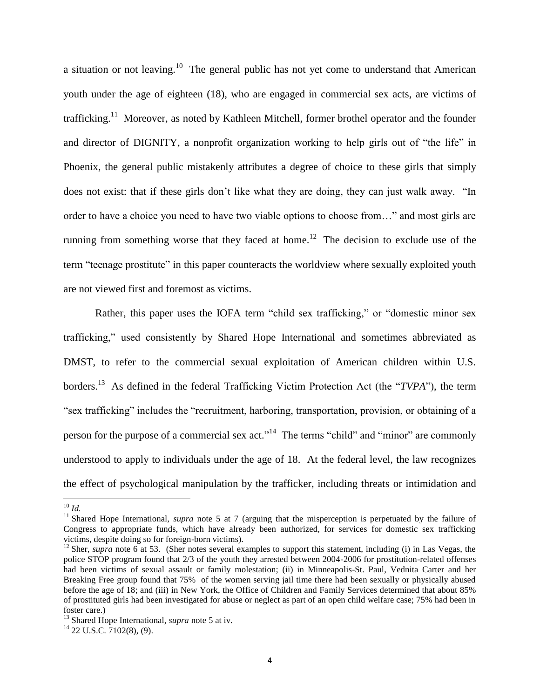a situation or not leaving.<sup>10</sup> The general public has not yet come to understand that American youth under the age of eighteen (18), who are engaged in commercial sex acts, are victims of trafficking.<sup>11</sup> Moreover, as noted by Kathleen Mitchell, former brothel operator and the founder and director of DIGNITY, a nonprofit organization working to help girls out of "the life" in Phoenix, the general public mistakenly attributes a degree of choice to these girls that simply does not exist: that if these girls don't like what they are doing, they can just walk away. "In order to have a choice you need to have two viable options to choose from…" and most girls are running from something worse that they faced at home.<sup>12</sup> The decision to exclude use of the term "teenage prostitute" in this paper counteracts the worldview where sexually exploited youth are not viewed first and foremost as victims.

Rather, this paper uses the IOFA term "child sex trafficking," or "domestic minor sex trafficking," used consistently by Shared Hope International and sometimes abbreviated as DMST, to refer to the commercial sexual exploitation of American children within U.S. borders.<sup>13</sup> As defined in the federal Trafficking Victim Protection Act (the "*TVPA*"), the term "sex trafficking" includes the "recruitment, harboring, transportation, provision, or obtaining of a person for the purpose of a commercial sex act."<sup>14</sup> The terms "child" and "minor" are commonly understood to apply to individuals under the age of 18. At the federal level, the law recognizes the effect of psychological manipulation by the trafficker, including threats or intimidation and

<sup>10</sup> *Id.*

<sup>&</sup>lt;sup>11</sup> Shared Hope International, *supra* note 5 at 7 (arguing that the misperception is perpetuated by the failure of Congress to appropriate funds, which have already been authorized, for services for domestic sex trafficking victims, despite doing so for foreign-born victims).

<sup>&</sup>lt;sup>12</sup> Sher, *supra* note 6 at 53. (Sher notes several examples to support this statement, including (i) in Las Vegas, the police STOP program found that 2/3 of the youth they arrested between 2004-2006 for prostitution-related offenses had been victims of sexual assault or family molestation; (ii) in Minneapolis-St. Paul, Vednita Carter and her Breaking Free group found that 75% of the women serving jail time there had been sexually or physically abused before the age of 18; and (iii) in New York, the Office of Children and Family Services determined that about 85% of prostituted girls had been investigated for abuse or neglect as part of an open child welfare case; 75% had been in foster care.)

<sup>13</sup> Shared Hope International, *supra* note 5 at iv.

 $^{14}$  22 U.S.C. 7102(8), (9).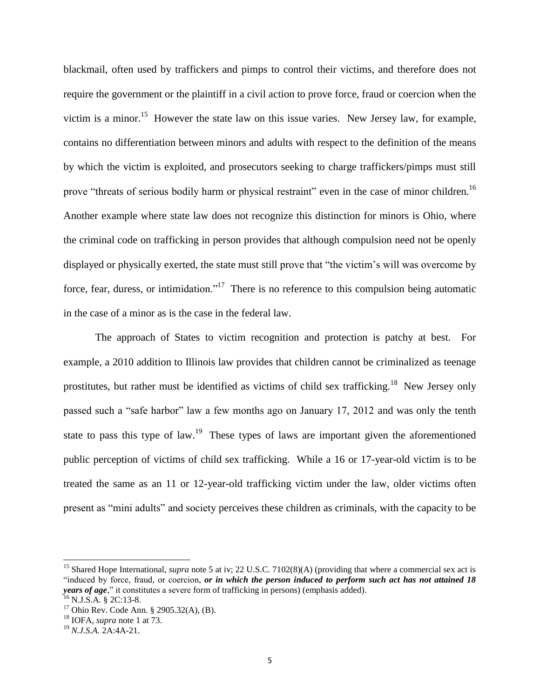blackmail, often used by traffickers and pimps to control their victims, and therefore does not require the government or the plaintiff in a civil action to prove force, fraud or coercion when the victim is a minor.<sup>15</sup> However the state law on this issue varies. New Jersey law, for example, contains no differentiation between minors and adults with respect to the definition of the means by which the victim is exploited, and prosecutors seeking to charge traffickers/pimps must still prove "threats of serious bodily harm or physical restraint" even in the case of minor children.<sup>16</sup> Another example where state law does not recognize this distinction for minors is Ohio, where the criminal code on trafficking in person provides that although compulsion need not be openly displayed or physically exerted, the state must still prove that "the victim's will was overcome by force, fear, duress, or intimidation."<sup>17</sup> There is no reference to this compulsion being automatic in the case of a minor as is the case in the federal law.

The approach of States to victim recognition and protection is patchy at best. For example, a 2010 addition to Illinois law provides that children cannot be criminalized as teenage prostitutes, but rather must be identified as victims of child sex trafficking.<sup>18</sup> New Jersey only passed such a "safe harbor" law a few months ago on January 17, 2012 and was only the tenth state to pass this type of law.<sup>19</sup> These types of laws are important given the aforementioned public perception of victims of child sex trafficking. While a 16 or 17-year-old victim is to be treated the same as an 11 or 12-year-old trafficking victim under the law, older victims often present as "mini adults" and society perceives these children as criminals, with the capacity to be

<sup>&</sup>lt;sup>15</sup> Shared Hope International, *supra* note 5 at iv; 22 U.S.C. 7102(8)(A) (providing that where a commercial sex act is "induced by force, fraud, or coercion, *or in which the person induced to perform such act has not attained 18 years of age*," it constitutes a severe form of trafficking in persons) (emphasis added).

<sup>16</sup> N.J.S.A. § 2C:13-8.

<sup>17</sup> Ohio Rev. Code Ann. § 2905.32(A), (B).

<sup>18</sup> IOFA, *supra* note 1 at 73.

<sup>19</sup> *N.J.S.A.* 2A:4A-21.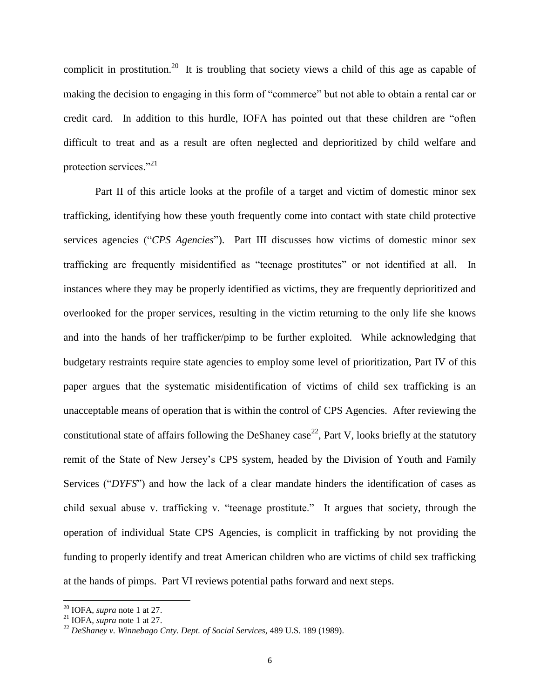complicit in prostitution.<sup>20</sup> It is troubling that society views a child of this age as capable of making the decision to engaging in this form of "commerce" but not able to obtain a rental car or credit card. In addition to this hurdle, IOFA has pointed out that these children are "often difficult to treat and as a result are often neglected and deprioritized by child welfare and protection services."<sup>21</sup>

Part II of this article looks at the profile of a target and victim of domestic minor sex trafficking, identifying how these youth frequently come into contact with state child protective services agencies ("*CPS Agencies*"). Part III discusses how victims of domestic minor sex trafficking are frequently misidentified as "teenage prostitutes" or not identified at all. In instances where they may be properly identified as victims, they are frequently deprioritized and overlooked for the proper services, resulting in the victim returning to the only life she knows and into the hands of her trafficker/pimp to be further exploited. While acknowledging that budgetary restraints require state agencies to employ some level of prioritization, Part IV of this paper argues that the systematic misidentification of victims of child sex trafficking is an unacceptable means of operation that is within the control of CPS Agencies. After reviewing the constitutional state of affairs following the DeShaney case<sup>22</sup>, Part V, looks briefly at the statutory remit of the State of New Jersey's CPS system, headed by the Division of Youth and Family Services ("*DYFS*") and how the lack of a clear mandate hinders the identification of cases as child sexual abuse v. trafficking v. "teenage prostitute." It argues that society, through the operation of individual State CPS Agencies, is complicit in trafficking by not providing the funding to properly identify and treat American children who are victims of child sex trafficking at the hands of pimps. Part VI reviews potential paths forward and next steps.

<sup>20</sup> IOFA, *supra* note 1 at 27.

<sup>21</sup> IOFA, *supra* note 1 at 27.

<sup>22</sup> *DeShaney v. Winnebago Cnty. Dept. of Social Services*, 489 U.S. 189 (1989).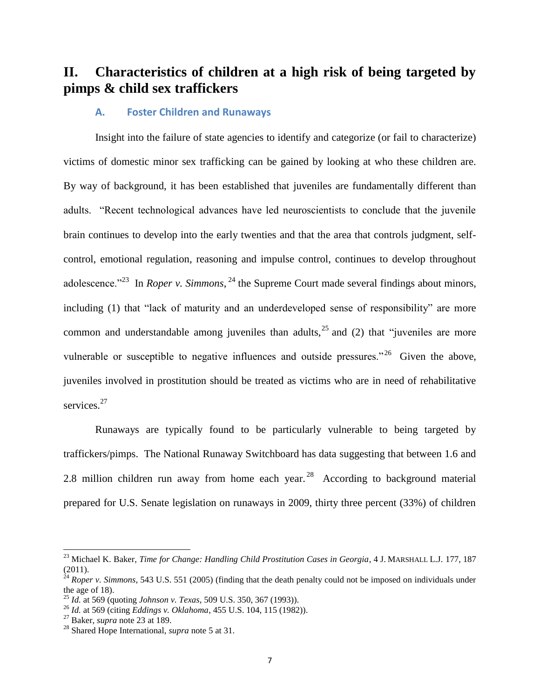# **II. Characteristics of children at a high risk of being targeted by pimps & child sex traffickers**

### **A. Foster Children and Runaways**

Insight into the failure of state agencies to identify and categorize (or fail to characterize) victims of domestic minor sex trafficking can be gained by looking at who these children are. By way of background, it has been established that juveniles are fundamentally different than adults. "Recent technological advances have led neuroscientists to conclude that the juvenile brain continues to develop into the early twenties and that the area that controls judgment, selfcontrol, emotional regulation, reasoning and impulse control, continues to develop throughout adolescence."<sup>23</sup> In *Roper v. Simmons*, <sup>24</sup> the Supreme Court made several findings about minors, including (1) that "lack of maturity and an underdeveloped sense of responsibility" are more common and understandable among juveniles than adults,  $2^5$  and (2) that "juveniles are more vulnerable or susceptible to negative influences and outside pressures." <sup>26</sup> Given the above, juveniles involved in prostitution should be treated as victims who are in need of rehabilitative services.<sup>27</sup>

Runaways are typically found to be particularly vulnerable to being targeted by traffickers/pimps. The National Runaway Switchboard has data suggesting that between 1.6 and 2.8 million children run away from home each year.<sup>28</sup> According to background material prepared for U.S. Senate legislation on runaways in 2009, thirty three percent (33%) of children

l

<sup>&</sup>lt;sup>23</sup> Michael K. Baker, *Time for Change: Handling Child Prostitution Cases in Georgia*, 4 J. MARSHALL L.J. 177, 187 (2011).

 $^{24}$  *Roper v. Simmons*, 543 U.S. 551 (2005) (finding that the death penalty could not be imposed on individuals under the age of 18).

<sup>25</sup> *Id.* at 569 (quoting *Johnson v. Texas*, 509 U.S. 350, 367 (1993)).

<sup>26</sup> *Id.* at 569 (citing *Eddings v. Oklahoma*, 455 U.S. 104, 115 (1982)).

<sup>27</sup> Baker, *supra* note 23 at 189.

<sup>28</sup> Shared Hope International, *supra* note 5 at 31.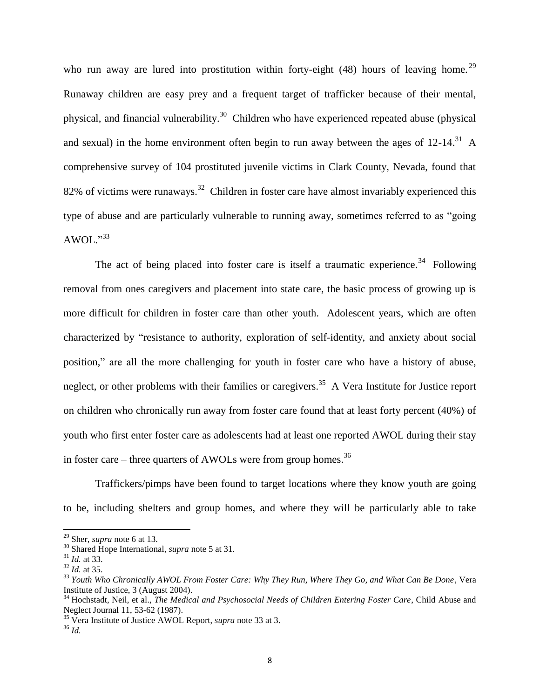who run away are lured into prostitution within forty-eight  $(48)$  hours of leaving home.<sup>29</sup> Runaway children are easy prey and a frequent target of trafficker because of their mental, physical, and financial vulnerability.<sup>30</sup> Children who have experienced repeated abuse (physical and sexual) in the home environment often begin to run away between the ages of  $12\t{-}14$ .<sup>31</sup> A comprehensive survey of 104 prostituted juvenile victims in Clark County, Nevada, found that 82% of victims were runaways.<sup>32</sup> Children in foster care have almost invariably experienced this type of abuse and are particularly vulnerable to running away, sometimes referred to as "going  $AWOL.$ <sup>"33</sup>

The act of being placed into foster care is itself a traumatic experience.<sup>34</sup> Following removal from ones caregivers and placement into state care, the basic process of growing up is more difficult for children in foster care than other youth. Adolescent years, which are often characterized by "resistance to authority, exploration of self-identity, and anxiety about social position," are all the more challenging for youth in foster care who have a history of abuse, neglect, or other problems with their families or caregivers.<sup>35</sup> A Vera Institute for Justice report on children who chronically run away from foster care found that at least forty percent (40%) of youth who first enter foster care as adolescents had at least one reported AWOL during their stay in foster care – three quarters of AWOLs were from group homes.<sup>36</sup>

Traffickers/pimps have been found to target locations where they know youth are going to be, including shelters and group homes, and where they will be particularly able to take

<sup>29</sup> Sher, *supra* note 6 at 13.

<sup>30</sup> Shared Hope International, *supra* note 5 at 31.

<sup>31</sup> *Id.* at 33.

<sup>32</sup> *Id.* at 35.

<sup>33</sup> *Youth Who Chronically AWOL From Foster Care: Why They Run, Where They Go, and What Can Be Done*, Vera Institute of Justice, 3 (August 2004).

<sup>34</sup> Hochstadt, Neil, et al., *The Medical and Psychosocial Needs of Children Entering Foster Care*, Child Abuse and Neglect Journal 11, 53-62 (1987).

<sup>35</sup> Vera Institute of Justice AWOL Report, *supra* note 33 at 3.

<sup>36</sup> *Id.*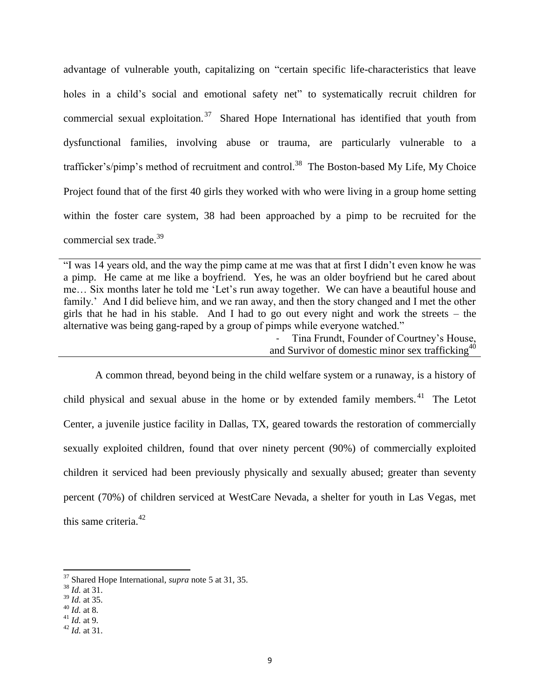advantage of vulnerable youth, capitalizing on "certain specific life-characteristics that leave holes in a child's social and emotional safety net" to systematically recruit children for commercial sexual exploitation.<sup>37</sup> Shared Hope International has identified that youth from dysfunctional families, involving abuse or trauma, are particularly vulnerable to a trafficker's/pimp's method of recruitment and control.<sup>38</sup> The Boston-based My Life, My Choice Project found that of the first 40 girls they worked with who were living in a group home setting within the foster care system, 38 had been approached by a pimp to be recruited for the commercial sex trade.<sup>39</sup>

- Tina Frundt, Founder of Courtney's House, and Survivor of domestic minor sex trafficking<sup>40</sup>

A common thread, beyond being in the child welfare system or a runaway, is a history of child physical and sexual abuse in the home or by extended family members.<sup>41</sup> The Letot Center, a juvenile justice facility in Dallas, TX, geared towards the restoration of commercially sexually exploited children, found that over ninety percent (90%) of commercially exploited children it serviced had been previously physically and sexually abused; greater than seventy percent (70%) of children serviced at WestCare Nevada, a shelter for youth in Las Vegas, met this same criteria. $42$ 

<sup>&</sup>quot;I was 14 years old, and the way the pimp came at me was that at first I didn't even know he was a pimp. He came at me like a boyfriend. Yes, he was an older boyfriend but he cared about me… Six months later he told me 'Let's run away together. We can have a beautiful house and family.' And I did believe him, and we ran away, and then the story changed and I met the other girls that he had in his stable. And I had to go out every night and work the streets – the alternative was being gang-raped by a group of pimps while everyone watched."

<sup>37</sup> Shared Hope International, *supra* note 5 at 31, 35.

<sup>38</sup> *Id.* at 31.

<sup>39</sup> *Id.* at 35.

<sup>40</sup> *Id.* at 8.

 $41$  *Id.* at 9.

<sup>42</sup> *Id.* at 31.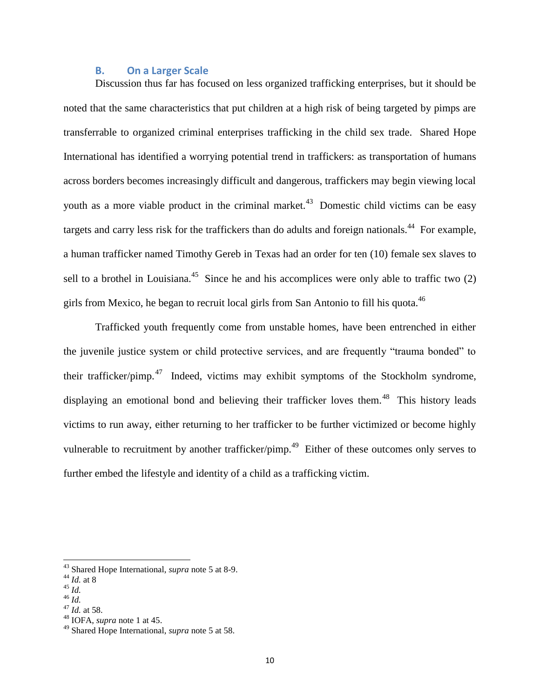#### **B. On a Larger Scale**

Discussion thus far has focused on less organized trafficking enterprises, but it should be noted that the same characteristics that put children at a high risk of being targeted by pimps are transferrable to organized criminal enterprises trafficking in the child sex trade. Shared Hope International has identified a worrying potential trend in traffickers: as transportation of humans across borders becomes increasingly difficult and dangerous, traffickers may begin viewing local youth as a more viable product in the criminal market.<sup>43</sup> Domestic child victims can be easy targets and carry less risk for the traffickers than do adults and foreign nationals.<sup>44</sup> For example, a human trafficker named Timothy Gereb in Texas had an order for ten (10) female sex slaves to sell to a brothel in Louisiana.<sup>45</sup> Since he and his accomplices were only able to traffic two  $(2)$ girls from Mexico, he began to recruit local girls from San Antonio to fill his quota.<sup>46</sup>

Trafficked youth frequently come from unstable homes, have been entrenched in either the juvenile justice system or child protective services, and are frequently "trauma bonded" to their trafficker/pimp.<sup>47</sup> Indeed, victims may exhibit symptoms of the Stockholm syndrome, displaying an emotional bond and believing their trafficker loves them.<sup>48</sup> This history leads victims to run away, either returning to her trafficker to be further victimized or become highly vulnerable to recruitment by another trafficker/pimp.<sup>49</sup> Either of these outcomes only serves to further embed the lifestyle and identity of a child as a trafficking victim.

<sup>43</sup> Shared Hope International, *supra* note 5 at 8-9.

 $44$  *Id.* at 8

<sup>45</sup> *Id.* 

<sup>46</sup> *Id.*

<sup>47</sup> *Id.* at 58.

<sup>48</sup> IOFA, *supra* note 1 at 45.

<sup>49</sup> Shared Hope International, *supra* note 5 at 58.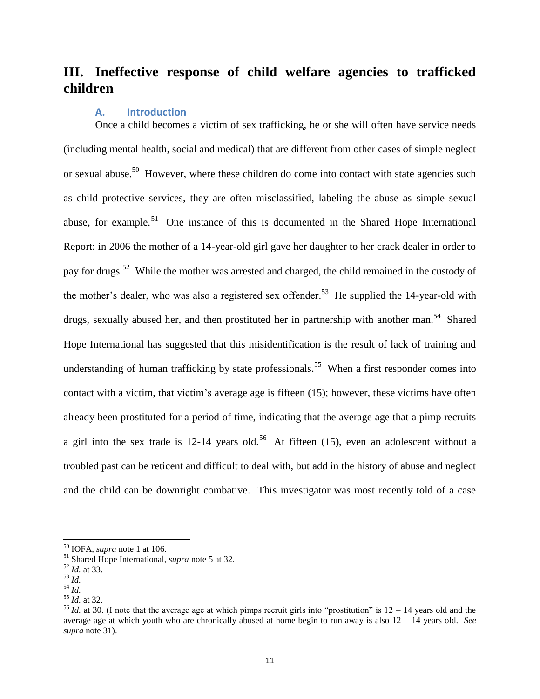# **III. Ineffective response of child welfare agencies to trafficked children**

### **A. Introduction**

Once a child becomes a victim of sex trafficking, he or she will often have service needs (including mental health, social and medical) that are different from other cases of simple neglect or sexual abuse.<sup>50</sup> However, where these children do come into contact with state agencies such as child protective services, they are often misclassified, labeling the abuse as simple sexual abuse, for example.<sup>51</sup> One instance of this is documented in the Shared Hope International Report: in 2006 the mother of a 14-year-old girl gave her daughter to her crack dealer in order to pay for drugs.<sup>52</sup> While the mother was arrested and charged, the child remained in the custody of the mother's dealer, who was also a registered sex offender.<sup>53</sup> He supplied the 14-year-old with drugs, sexually abused her, and then prostituted her in partnership with another man.<sup>54</sup> Shared Hope International has suggested that this misidentification is the result of lack of training and understanding of human trafficking by state professionals.<sup>55</sup> When a first responder comes into contact with a victim, that victim's average age is fifteen (15); however, these victims have often already been prostituted for a period of time, indicating that the average age that a pimp recruits a girl into the sex trade is  $12-14$  years old.<sup>56</sup> At fifteen (15), even an adolescent without a troubled past can be reticent and difficult to deal with, but add in the history of abuse and neglect and the child can be downright combative. This investigator was most recently told of a case

<sup>50</sup> IOFA, *supra* note 1 at 106.

<sup>51</sup> Shared Hope International, *supra* note 5 at 32.

<sup>52</sup> *Id.* at 33.

<sup>53</sup> *Id.* 

 $^{54}$  *Id.* 

<sup>55</sup> *Id.* at 32.

 $56$  *Id.* at 30. (I note that the average age at which pimps recruit girls into "prostitution" is  $12 - 14$  years old and the average age at which youth who are chronically abused at home begin to run away is also 12 – 14 years old. *See supra* note 31).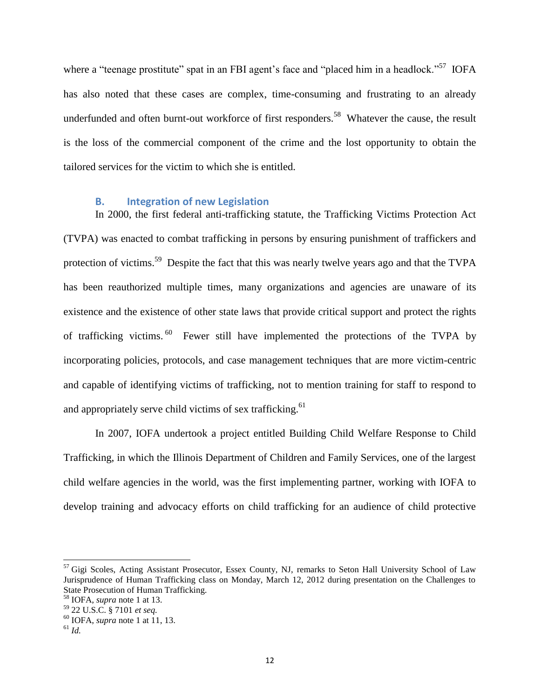where a "teenage prostitute" spat in an FBI agent's face and "placed him in a headlock."<sup>57</sup> IOFA has also noted that these cases are complex, time-consuming and frustrating to an already underfunded and often burnt-out workforce of first responders.<sup>58</sup> Whatever the cause, the result is the loss of the commercial component of the crime and the lost opportunity to obtain the tailored services for the victim to which she is entitled.

#### **B. Integration of new Legislation**

In 2000, the first federal anti-trafficking statute, the Trafficking Victims Protection Act (TVPA) was enacted to combat trafficking in persons by ensuring punishment of traffickers and protection of victims.<sup>59</sup> Despite the fact that this was nearly twelve years ago and that the TVPA has been reauthorized multiple times, many organizations and agencies are unaware of its existence and the existence of other state laws that provide critical support and protect the rights of trafficking victims.<sup>60</sup> Fewer still have implemented the protections of the TVPA by incorporating policies, protocols, and case management techniques that are more victim-centric and capable of identifying victims of trafficking, not to mention training for staff to respond to and appropriately serve child victims of sex trafficking.<sup>61</sup>

In 2007, IOFA undertook a project entitled Building Child Welfare Response to Child Trafficking, in which the Illinois Department of Children and Family Services, one of the largest child welfare agencies in the world, was the first implementing partner, working with IOFA to develop training and advocacy efforts on child trafficking for an audience of child protective

<sup>&</sup>lt;sup>57</sup> Gigi Scoles, Acting Assistant Prosecutor, Essex County, NJ, remarks to Seton Hall University School of Law Jurisprudence of Human Trafficking class on Monday, March 12, 2012 during presentation on the Challenges to State Prosecution of Human Trafficking.

<sup>58</sup> IOFA, *supra* note 1 at 13.

<sup>59</sup> 22 U.S.C. § 7101 *et seq.*

<sup>60</sup> IOFA, *supra* note 1 at 11, 13.

 $^{61}$  *Id.*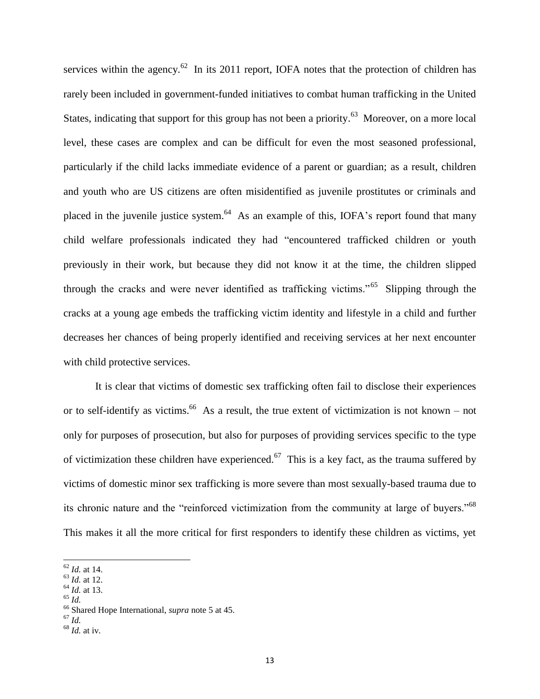services within the agency.<sup>62</sup> In its 2011 report, IOFA notes that the protection of children has rarely been included in government-funded initiatives to combat human trafficking in the United States, indicating that support for this group has not been a priority.<sup>63</sup> Moreover, on a more local level, these cases are complex and can be difficult for even the most seasoned professional, particularly if the child lacks immediate evidence of a parent or guardian; as a result, children and youth who are US citizens are often misidentified as juvenile prostitutes or criminals and placed in the juvenile justice system.<sup>64</sup> As an example of this, IOFA's report found that many child welfare professionals indicated they had "encountered trafficked children or youth previously in their work, but because they did not know it at the time, the children slipped through the cracks and were never identified as trafficking victims."<sup>65</sup> Slipping through the cracks at a young age embeds the trafficking victim identity and lifestyle in a child and further decreases her chances of being properly identified and receiving services at her next encounter with child protective services.

It is clear that victims of domestic sex trafficking often fail to disclose their experiences or to self-identify as victims.<sup>66</sup> As a result, the true extent of victimization is not known – not only for purposes of prosecution, but also for purposes of providing services specific to the type of victimization these children have experienced.<sup>67</sup> This is a key fact, as the trauma suffered by victims of domestic minor sex trafficking is more severe than most sexually-based trauma due to its chronic nature and the "reinforced victimization from the community at large of buyers."<sup>68</sup> This makes it all the more critical for first responders to identify these children as victims, yet

- <sup>64</sup> *Id.* at 13.
- <sup>65</sup> *Id.*

<sup>67</sup> *Id.*

 $\overline{a}$ <sup>62</sup> *Id.* at 14.

<sup>63</sup> *Id.* at 12.

<sup>66</sup> Shared Hope International, *supra* note 5 at 45.

<sup>68</sup> *Id.* at iv.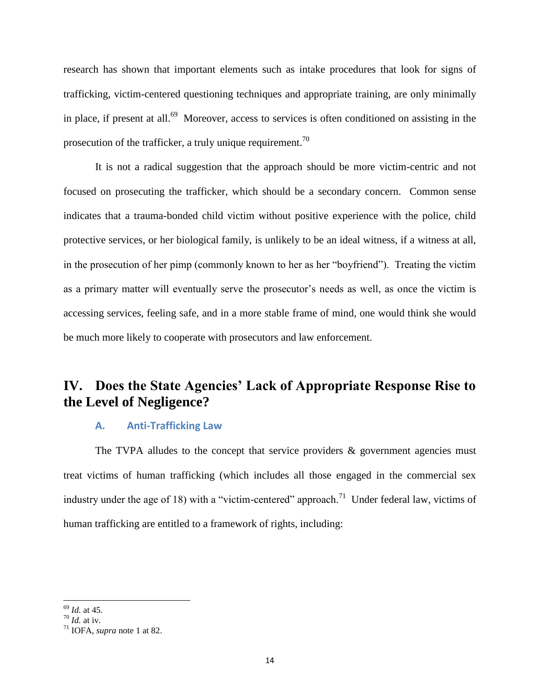research has shown that important elements such as intake procedures that look for signs of trafficking, victim-centered questioning techniques and appropriate training, are only minimally in place, if present at all.<sup>69</sup> Moreover, access to services is often conditioned on assisting in the prosecution of the trafficker, a truly unique requirement.<sup>70</sup>

It is not a radical suggestion that the approach should be more victim-centric and not focused on prosecuting the trafficker, which should be a secondary concern. Common sense indicates that a trauma-bonded child victim without positive experience with the police, child protective services, or her biological family, is unlikely to be an ideal witness, if a witness at all, in the prosecution of her pimp (commonly known to her as her "boyfriend"). Treating the victim as a primary matter will eventually serve the prosecutor's needs as well, as once the victim is accessing services, feeling safe, and in a more stable frame of mind, one would think she would be much more likely to cooperate with prosecutors and law enforcement.

# **IV. Does the State Agencies' Lack of Appropriate Response Rise to the Level of Negligence?**

### **A. Anti-Trafficking Law**

The TVPA alludes to the concept that service providers  $\&$  government agencies must treat victims of human trafficking (which includes all those engaged in the commercial sex industry under the age of 18) with a "victim-centered" approach.<sup>71</sup> Under federal law, victims of human trafficking are entitled to a framework of rights, including:

<sup>69</sup> *Id.* at 45.

<sup>70</sup> *Id.* at iv.

<sup>71</sup> IOFA, *supra* note 1 at 82.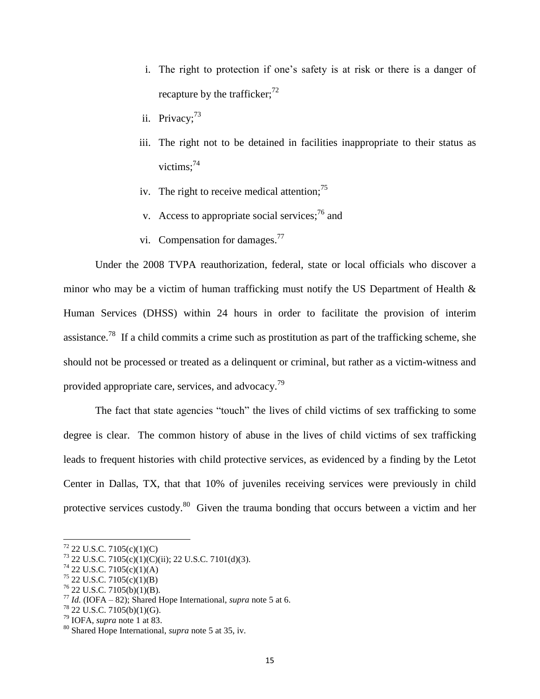- i. The right to protection if one's safety is at risk or there is a danger of recapture by the trafficker; $^{72}$
- ii. Privacy;<sup>73</sup>
- iii. The right not to be detained in facilities inappropriate to their status as victims: $74$
- iv. The right to receive medical attention;<sup>75</sup>
- v. Access to appropriate social services;<sup>76</sup> and
- vi. Compensation for damages.<sup>77</sup>

Under the 2008 TVPA reauthorization, federal, state or local officials who discover a minor who may be a victim of human trafficking must notify the US Department of Health  $\&$ Human Services (DHSS) within 24 hours in order to facilitate the provision of interim assistance.<sup>78</sup> If a child commits a crime such as prostitution as part of the trafficking scheme, she should not be processed or treated as a delinquent or criminal, but rather as a victim-witness and provided appropriate care, services, and advocacy.<sup>79</sup>

The fact that state agencies "touch" the lives of child victims of sex trafficking to some degree is clear. The common history of abuse in the lives of child victims of sex trafficking leads to frequent histories with child protective services, as evidenced by a finding by the Letot Center in Dallas, TX, that that 10% of juveniles receiving services were previously in child protective services custody.<sup>80</sup> Given the trauma bonding that occurs between a victim and her

 $\overline{a}$ 

 $^{76}$  22 U.S.C. 7105(b)(1)(B).

<sup>79</sup> IOFA, *supra* note 1 at 83.

 $72$  22 U.S.C. 7105(c)(1)(C)

 $^{73}$  22 U.S.C. 7105(c)(1)(C)(ii); 22 U.S.C. 7101(d)(3).

 $^{74}$  22 U.S.C. 7105(c)(1)(A)

 $^{75}$  22 U.S.C. 7105(c)(1)(B)

<sup>77</sup> *Id.* (IOFA – 82); Shared Hope International, *supra* note 5 at 6.

 $^{78}$  22 U.S.C. 7105(b)(1)(G).

<sup>80</sup> Shared Hope International, *supra* note 5 at 35, iv.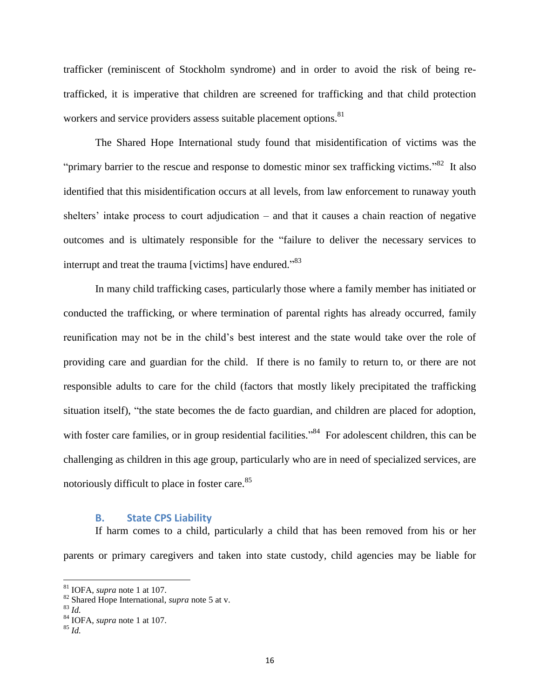trafficker (reminiscent of Stockholm syndrome) and in order to avoid the risk of being retrafficked, it is imperative that children are screened for trafficking and that child protection workers and service providers assess suitable placement options.<sup>81</sup>

The Shared Hope International study found that misidentification of victims was the "primary barrier to the rescue and response to domestic minor sex trafficking victims."<sup>82</sup> It also identified that this misidentification occurs at all levels, from law enforcement to runaway youth shelters' intake process to court adjudication – and that it causes a chain reaction of negative outcomes and is ultimately responsible for the "failure to deliver the necessary services to interrupt and treat the trauma [victims] have endured."<sup>83</sup>

In many child trafficking cases, particularly those where a family member has initiated or conducted the trafficking, or where termination of parental rights has already occurred, family reunification may not be in the child's best interest and the state would take over the role of providing care and guardian for the child. If there is no family to return to, or there are not responsible adults to care for the child (factors that mostly likely precipitated the trafficking situation itself), "the state becomes the de facto guardian, and children are placed for adoption, with foster care families, or in group residential facilities."<sup>84</sup> For adolescent children, this can be challenging as children in this age group, particularly who are in need of specialized services, are notoriously difficult to place in foster care.<sup>85</sup>

#### **B. State CPS Liability**

If harm comes to a child, particularly a child that has been removed from his or her parents or primary caregivers and taken into state custody, child agencies may be liable for

<sup>81</sup> IOFA, *supra* note 1 at 107.

<sup>82</sup> Shared Hope International, *supra* note 5 at v.

<sup>83</sup> *Id.* 

<sup>84</sup> IOFA, *supra* note 1 at 107.

<sup>85</sup> *Id.*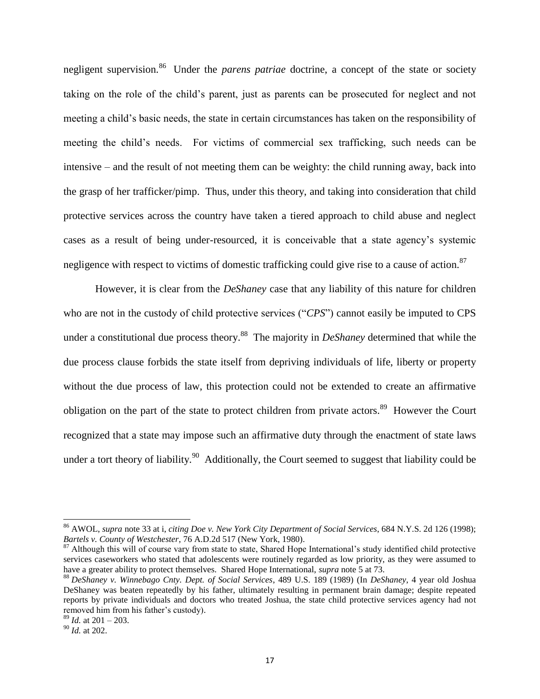negligent supervision.<sup>86</sup> Under the *parens patriae* doctrine, a concept of the state or society taking on the role of the child's parent, just as parents can be prosecuted for neglect and not meeting a child's basic needs, the state in certain circumstances has taken on the responsibility of meeting the child's needs. For victims of commercial sex trafficking, such needs can be intensive – and the result of not meeting them can be weighty: the child running away, back into the grasp of her trafficker/pimp. Thus, under this theory, and taking into consideration that child protective services across the country have taken a tiered approach to child abuse and neglect cases as a result of being under-resourced, it is conceivable that a state agency's systemic negligence with respect to victims of domestic trafficking could give rise to a cause of action.<sup>87</sup>

However, it is clear from the *DeShaney* case that any liability of this nature for children who are not in the custody of child protective services ("*CPS*") cannot easily be imputed to CPS under a constitutional due process theory.<sup>88</sup> The majority in *DeShaney* determined that while the due process clause forbids the state itself from depriving individuals of life, liberty or property without the due process of law, this protection could not be extended to create an affirmative obligation on the part of the state to protect children from private actors.<sup>89</sup> However the Court recognized that a state may impose such an affirmative duty through the enactment of state laws under a tort theory of liability.<sup>90</sup> Additionally, the Court seemed to suggest that liability could be

<sup>86</sup> AWOL, *supra* note 33 at i, *citing Doe v. New York City Department of Social Services*, 684 N.Y.S. 2d 126 (1998); *Bartels v. County of Westchester*, 76 A.D.2d 517 (New York, 1980).

<sup>&</sup>lt;sup>87</sup> Although this will of course vary from state to state, Shared Hope International's study identified child protective services caseworkers who stated that adolescents were routinely regarded as low priority, as they were assumed to have a greater ability to protect themselves. Shared Hope International, *supra* note 5 at 73.

<sup>88</sup> *DeShaney v. Winnebago Cnty. Dept. of Social Services*, 489 U.S. 189 (1989) (In *DeShaney*, 4 year old Joshua DeShaney was beaten repeatedly by his father, ultimately resulting in permanent brain damage; despite repeated reports by private individuals and doctors who treated Joshua, the state child protective services agency had not removed him from his father's custody).

<sup>89</sup> *Id.* at 201 – 203.

<sup>90</sup> *Id.* at 202.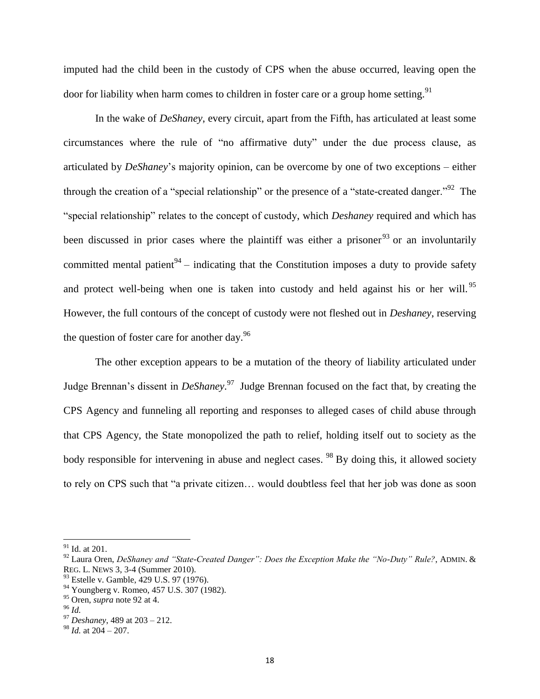imputed had the child been in the custody of CPS when the abuse occurred, leaving open the door for liability when harm comes to children in foster care or a group home setting.<sup>91</sup>

In the wake of *DeShaney*, every circuit, apart from the Fifth, has articulated at least some circumstances where the rule of "no affirmative duty" under the due process clause, as articulated by *DeShaney*'s majority opinion, can be overcome by one of two exceptions – either through the creation of a "special relationship" or the presence of a "state-created danger."<sup>92</sup> The "special relationship" relates to the concept of custody, which *Deshaney* required and which has been discussed in prior cases where the plaintiff was either a prisoner  $93$  or an involuntarily committed mental patient<sup>94</sup> – indicating that the Constitution imposes a duty to provide safety and protect well-being when one is taken into custody and held against his or her will.<sup>95</sup> However, the full contours of the concept of custody were not fleshed out in *Deshaney*, reserving the question of foster care for another day.<sup>96</sup>

The other exception appears to be a mutation of the theory of liability articulated under Judge Brennan's dissent in *DeShaney*. 97 Judge Brennan focused on the fact that, by creating the CPS Agency and funneling all reporting and responses to alleged cases of child abuse through that CPS Agency, the State monopolized the path to relief, holding itself out to society as the body responsible for intervening in abuse and neglect cases. <sup>98</sup> By doing this, it allowed society to rely on CPS such that "a private citizen… would doubtless feel that her job was done as soon

 $91$  Id. at 201.

<sup>92</sup> Laura Oren, *DeShaney and "State-Created Danger": Does the Exception Make the "No-Duty" Rule?*, ADMIN. & REG. L. NEWS 3, 3-4 (Summer 2010).

<sup>&</sup>lt;sup>93</sup> Estelle v. Gamble, 429 U.S. 97 (1976).

<sup>94</sup> Youngberg v. Romeo, 457 U.S. 307 (1982).

<sup>95</sup> Oren, *supra* note 92 at 4.

<sup>96</sup> *Id.*

<sup>97</sup> *Deshaney*, 489 at 203 – 212.

<sup>98</sup> *Id.* at 204 – 207.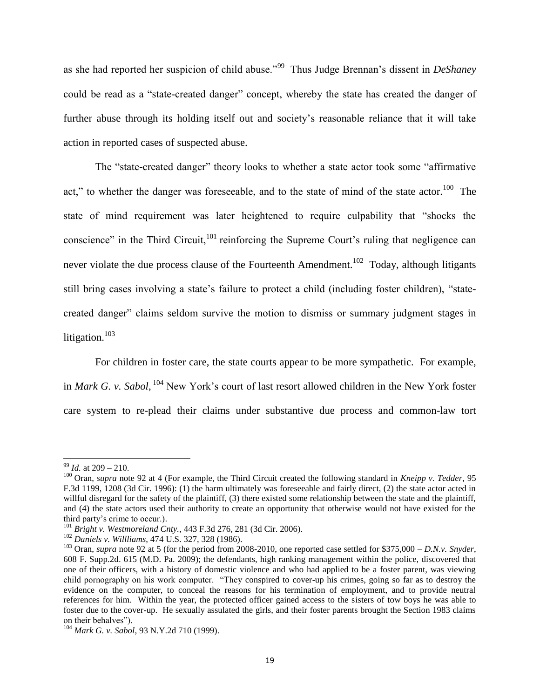as she had reported her suspicion of child abuse."<sup>99</sup> Thus Judge Brennan's dissent in *DeShaney*  could be read as a "state-created danger" concept, whereby the state has created the danger of further abuse through its holding itself out and society's reasonable reliance that it will take action in reported cases of suspected abuse.

The "state-created danger" theory looks to whether a state actor took some "affirmative act," to whether the danger was foreseeable, and to the state of mind of the state actor.<sup>100</sup> The state of mind requirement was later heightened to require culpability that "shocks the conscience" in the Third Circuit, $101$  reinforcing the Supreme Court's ruling that negligence can never violate the due process clause of the Fourteenth Amendment.<sup>102</sup> Today, although litigants still bring cases involving a state's failure to protect a child (including foster children), "statecreated danger" claims seldom survive the motion to dismiss or summary judgment stages in litigation.<sup>103</sup>

For children in foster care, the state courts appear to be more sympathetic. For example, in *Mark G. v. Sabol*, <sup>104</sup> New York's court of last resort allowed children in the New York foster care system to re-plead their claims under substantive due process and common-law tort

l <sup>99</sup> *Id.* at 209 – 210.

<sup>100</sup> Oran, *supra* note 92 at 4 (For example, the Third Circuit created the following standard in *Kneipp v. Tedder*, 95 F.3d 1199, 1208 (3d Cir. 1996): (1) the harm ultimately was foreseeable and fairly direct, (2) the state actor acted in willful disregard for the safety of the plaintiff, (3) there existed some relationship between the state and the plaintiff, and (4) the state actors used their authority to create an opportunity that otherwise would not have existed for the third party's crime to occur.).

<sup>101</sup> *Bright v. Westmoreland Cnty.*, 443 F.3d 276, 281 (3d Cir. 2006).

<sup>102</sup> *Daniels v. Willliams*, 474 U.S. 327, 328 (1986).

<sup>103</sup> Oran, *supra* note 92 at 5 (for the period from 2008-2010, one reported case settled for \$375,000 – *D.N.v. Snyder*, 608 F. Supp.2d. 615 (M.D. Pa. 2009); the defendants, high ranking management within the police, discovered that one of their officers, with a history of domestic violence and who had applied to be a foster parent, was viewing child pornography on his work computer. "They conspired to cover-up his crimes, going so far as to destroy the evidence on the computer, to conceal the reasons for his termination of employment, and to provide neutral references for him. Within the year, the protected officer gained access to the sisters of tow boys he was able to foster due to the cover-up. He sexually assulated the girls, and their foster parents brought the Section 1983 claims on their behalves").

<sup>104</sup> *Mark G. v. Sabol*, 93 N.Y.2d 710 (1999).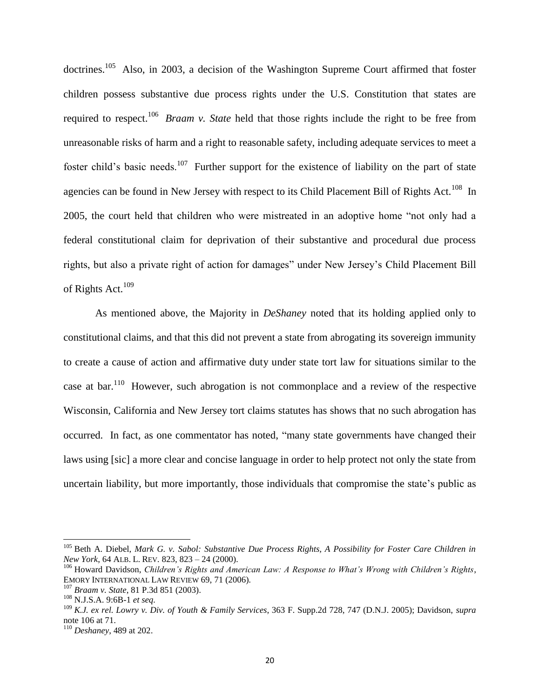doctrines.<sup>105</sup> Also, in 2003, a decision of the Washington Supreme Court affirmed that foster children possess substantive due process rights under the U.S. Constitution that states are required to respect.<sup>106</sup> *Braam v. State* held that those rights include the right to be free from unreasonable risks of harm and a right to reasonable safety, including adequate services to meet a foster child's basic needs.<sup>107</sup> Further support for the existence of liability on the part of state agencies can be found in New Jersey with respect to its Child Placement Bill of Rights Act.<sup>108</sup> In 2005, the court held that children who were mistreated in an adoptive home "not only had a federal constitutional claim for deprivation of their substantive and procedural due process rights, but also a private right of action for damages" under New Jersey's Child Placement Bill of Rights Act.<sup>109</sup>

As mentioned above, the Majority in *DeShaney* noted that its holding applied only to constitutional claims, and that this did not prevent a state from abrogating its sovereign immunity to create a cause of action and affirmative duty under state tort law for situations similar to the case at bar.<sup>110</sup> However, such abrogation is not commonplace and a review of the respective Wisconsin, California and New Jersey tort claims statutes has shows that no such abrogation has occurred. In fact, as one commentator has noted, "many state governments have changed their laws using [sic] a more clear and concise language in order to help protect not only the state from uncertain liability, but more importantly, those individuals that compromise the state's public as

<sup>105</sup> Beth A. Diebel, *Mark G. v. Sabol: Substantive Due Process Rights, A Possibility for Foster Care Children in New York*, 64 ALB. L. REV. 823, 823 – 24 (2000).

<sup>106</sup> Howard Davidson, *Children's Rights and American Law: A Response to What's Wrong with Children's Rights*, EMORY INTERNATIONAL LAW REVIEW 69, 71 (2006).

<sup>107</sup> *Braam v. State*, 81 P.3d 851 (2003).

<sup>108</sup> N.J.S.A. 9:6B-1 *et seq.*

<sup>109</sup> *K.J. ex rel. Lowry v. Div. of Youth & Family Services*, 363 F. Supp.2d 728, 747 (D.N.J. 2005); Davidson, *supra*  note 106 at 71.

<sup>110</sup> *Deshaney*, 489 at 202.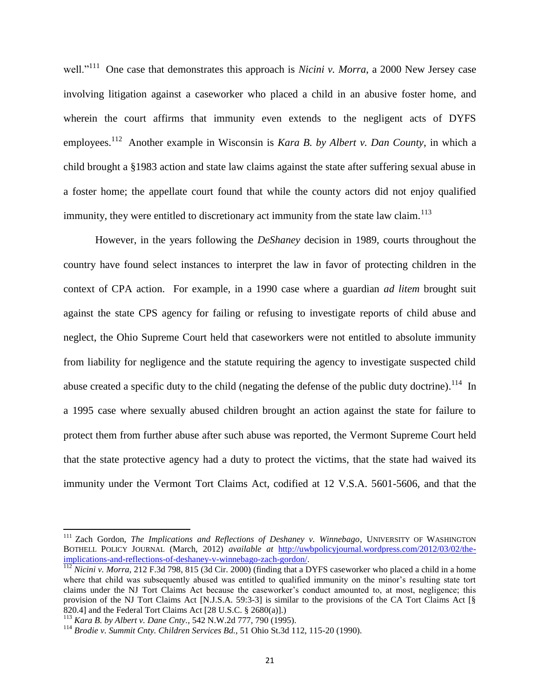well."<sup>111</sup> One case that demonstrates this approach is *Nicini v. Morra*, a 2000 New Jersey case involving litigation against a caseworker who placed a child in an abusive foster home, and wherein the court affirms that immunity even extends to the negligent acts of DYFS employees.<sup>112</sup> Another example in Wisconsin is *Kara B. by Albert v. Dan County*, in which a child brought a §1983 action and state law claims against the state after suffering sexual abuse in a foster home; the appellate court found that while the county actors did not enjoy qualified immunity, they were entitled to discretionary act immunity from the state law claim.<sup>113</sup>

However, in the years following the *DeShaney* decision in 1989, courts throughout the country have found select instances to interpret the law in favor of protecting children in the context of CPA action. For example, in a 1990 case where a guardian *ad litem* brought suit against the state CPS agency for failing or refusing to investigate reports of child abuse and neglect, the Ohio Supreme Court held that caseworkers were not entitled to absolute immunity from liability for negligence and the statute requiring the agency to investigate suspected child abuse created a specific duty to the child (negating the defense of the public duty doctrine).<sup>114</sup> In a 1995 case where sexually abused children brought an action against the state for failure to protect them from further abuse after such abuse was reported, the Vermont Supreme Court held that the state protective agency had a duty to protect the victims, that the state had waived its immunity under the Vermont Tort Claims Act, codified at 12 V.S.A. 5601-5606, and that the

<sup>&</sup>lt;sup>111</sup> Zach Gordon, *The Implications and Reflections of Deshaney v. Winnebago*, UNIVERSITY OF WASHINGTON BOTHELL POLICY JOURNAL (March, 2012) *available at* [http://uwbpolicyjournal.wordpress.com/2012/03/02/the](http://uwbpolicyjournal.wordpress.com/2012/03/02/the-implications-and-reflections-of-deshaney-v-winnebago-zach-gordon/)[implications-and-reflections-of-deshaney-v-winnebago-zach-gordon/.](http://uwbpolicyjournal.wordpress.com/2012/03/02/the-implications-and-reflections-of-deshaney-v-winnebago-zach-gordon/)

<sup>&</sup>lt;sup>112</sup> *Nicini v. Morra*, 212 F.3d 798, 815 (3d Cir. 2000) (finding that a DYFS caseworker who placed a child in a home where that child was subsequently abused was entitled to qualified immunity on the minor's resulting state tort claims under the NJ Tort Claims Act because the caseworker's conduct amounted to, at most, negligence; this provision of the NJ Tort Claims Act [N.J.S.A. 59:3-3] is similar to the provisions of the CA Tort Claims Act [§ 820.4] and the Federal Tort Claims Act  $[28 \text{ U.S.C. } 8 \text{ 2680(a)}]$ .

<sup>113</sup> *Kara B. by Albert v. Dane Cnty.*, 542 N.W.2d 777, 790 (1995).

<sup>114</sup> *Brodie v. Summit Cnty. Children Services Bd.*, 51 Ohio St.3d 112, 115-20 (1990).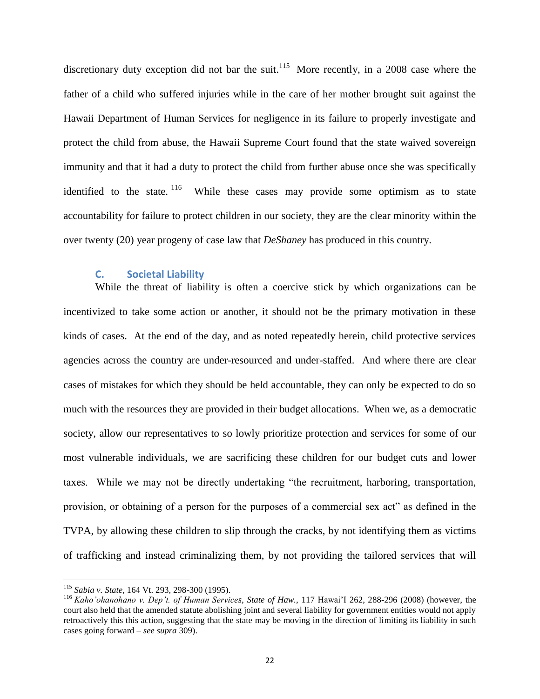discretionary duty exception did not bar the suit.<sup>115</sup> More recently, in a 2008 case where the father of a child who suffered injuries while in the care of her mother brought suit against the Hawaii Department of Human Services for negligence in its failure to properly investigate and protect the child from abuse, the Hawaii Supreme Court found that the state waived sovereign immunity and that it had a duty to protect the child from further abuse once she was specifically identified to the state.  $116$  While these cases may provide some optimism as to state accountability for failure to protect children in our society, they are the clear minority within the over twenty (20) year progeny of case law that *DeShaney* has produced in this country.

### **C. Societal Liability**

While the threat of liability is often a coercive stick by which organizations can be incentivized to take some action or another, it should not be the primary motivation in these kinds of cases. At the end of the day, and as noted repeatedly herein, child protective services agencies across the country are under-resourced and under-staffed. And where there are clear cases of mistakes for which they should be held accountable, they can only be expected to do so much with the resources they are provided in their budget allocations. When we, as a democratic society, allow our representatives to so lowly prioritize protection and services for some of our most vulnerable individuals, we are sacrificing these children for our budget cuts and lower taxes. While we may not be directly undertaking "the recruitment, harboring, transportation, provision, or obtaining of a person for the purposes of a commercial sex act" as defined in the TVPA, by allowing these children to slip through the cracks, by not identifying them as victims of trafficking and instead criminalizing them, by not providing the tailored services that will

<sup>115</sup> *Sabia v. State*, 164 Vt. 293, 298-300 (1995).

<sup>116</sup> *Kaho'ohanohano v. Dep't. of Human Services, State of Haw.*, 117 Hawai'I 262, 288-296 (2008) (however, the court also held that the amended statute abolishing joint and several liability for government entities would not apply retroactively this this action, suggesting that the state may be moving in the direction of limiting its liability in such cases going forward – *see supra* 309).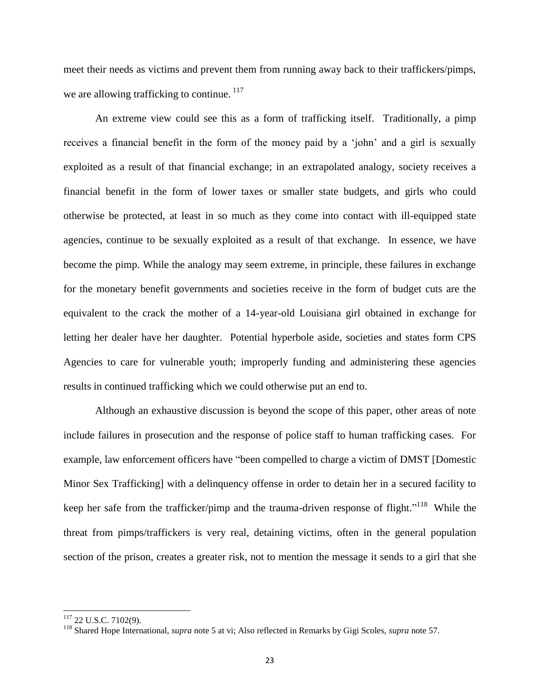meet their needs as victims and prevent them from running away back to their traffickers/pimps, we are allowing trafficking to continue.  $117$ 

An extreme view could see this as a form of trafficking itself. Traditionally, a pimp receives a financial benefit in the form of the money paid by a 'john' and a girl is sexually exploited as a result of that financial exchange; in an extrapolated analogy, society receives a financial benefit in the form of lower taxes or smaller state budgets, and girls who could otherwise be protected, at least in so much as they come into contact with ill-equipped state agencies, continue to be sexually exploited as a result of that exchange. In essence, we have become the pimp. While the analogy may seem extreme, in principle, these failures in exchange for the monetary benefit governments and societies receive in the form of budget cuts are the equivalent to the crack the mother of a 14-year-old Louisiana girl obtained in exchange for letting her dealer have her daughter. Potential hyperbole aside, societies and states form CPS Agencies to care for vulnerable youth; improperly funding and administering these agencies results in continued trafficking which we could otherwise put an end to.

Although an exhaustive discussion is beyond the scope of this paper, other areas of note include failures in prosecution and the response of police staff to human trafficking cases. For example, law enforcement officers have "been compelled to charge a victim of DMST [Domestic Minor Sex Trafficking] with a delinquency offense in order to detain her in a secured facility to keep her safe from the trafficker/pimp and the trauma-driven response of flight."<sup>118</sup> While the threat from pimps/traffickers is very real, detaining victims, often in the general population section of the prison, creates a greater risk, not to mention the message it sends to a girl that she

l

<sup>&</sup>lt;sup>117</sup> 22 U.S.C. 7102(9).

<sup>118</sup> Shared Hope International, *supra* note 5 at vi; Also reflected in Remarks by Gigi Scoles, *supra* note 57.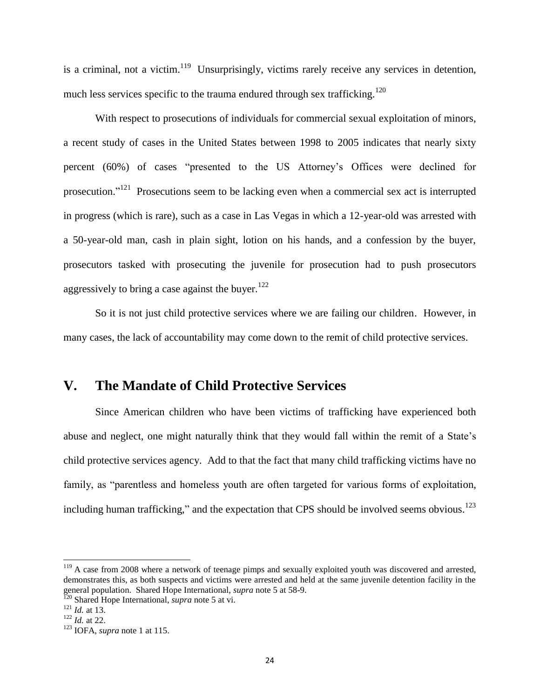is a criminal, not a victim.<sup>119</sup> Unsurprisingly, victims rarely receive any services in detention, much less services specific to the trauma endured through sex trafficking.<sup>120</sup>

With respect to prosecutions of individuals for commercial sexual exploitation of minors, a recent study of cases in the United States between 1998 to 2005 indicates that nearly sixty percent (60%) of cases "presented to the US Attorney's Offices were declined for prosecution."<sup>121</sup> Prosecutions seem to be lacking even when a commercial sex act is interrupted in progress (which is rare), such as a case in Las Vegas in which a 12-year-old was arrested with a 50-year-old man, cash in plain sight, lotion on his hands, and a confession by the buyer, prosecutors tasked with prosecuting the juvenile for prosecution had to push prosecutors aggressively to bring a case against the buyer.<sup>122</sup>

So it is not just child protective services where we are failing our children. However, in many cases, the lack of accountability may come down to the remit of child protective services.

### **V. The Mandate of Child Protective Services**

Since American children who have been victims of trafficking have experienced both abuse and neglect, one might naturally think that they would fall within the remit of a State's child protective services agency. Add to that the fact that many child trafficking victims have no family, as "parentless and homeless youth are often targeted for various forms of exploitation, including human trafficking," and the expectation that CPS should be involved seems obvious.<sup>123</sup>

 $119$  A case from 2008 where a network of teenage pimps and sexually exploited youth was discovered and arrested, demonstrates this, as both suspects and victims were arrested and held at the same juvenile detention facility in the general population. Shared Hope International, *supra* note 5 at 58-9.

<sup>120</sup> Shared Hope International, *supra* note 5 at vi.

<sup>121</sup> *Id.* at 13.

<sup>122</sup> *Id.* at 22.

<sup>123</sup> IOFA, *supra* note 1 at 115.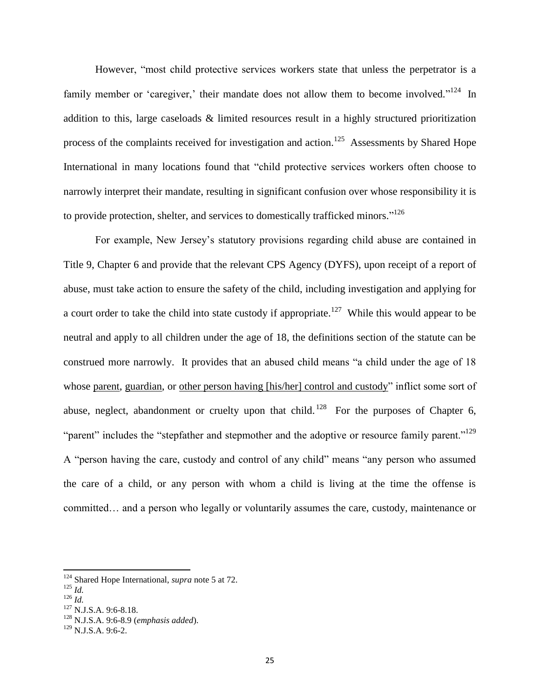However, "most child protective services workers state that unless the perpetrator is a family member or 'caregiver,' their mandate does not allow them to become involved." $124$  In addition to this, large caseloads & limited resources result in a highly structured prioritization process of the complaints received for investigation and action.<sup>125</sup> Assessments by Shared Hope International in many locations found that "child protective services workers often choose to narrowly interpret their mandate, resulting in significant confusion over whose responsibility it is to provide protection, shelter, and services to domestically trafficked minors."<sup>126</sup>

For example, New Jersey's statutory provisions regarding child abuse are contained in Title 9, Chapter 6 and provide that the relevant CPS Agency (DYFS), upon receipt of a report of abuse, must take action to ensure the safety of the child, including investigation and applying for a court order to take the child into state custody if appropriate.<sup>127</sup> While this would appear to be neutral and apply to all children under the age of 18, the definitions section of the statute can be construed more narrowly. It provides that an abused child means "a child under the age of 18 whose parent, guardian, or other person having [his/her] control and custody" inflict some sort of abuse, neglect, abandonment or cruelty upon that child.<sup>128</sup> For the purposes of Chapter 6, "parent" includes the "stepfather and stepmother and the adoptive or resource family parent."<sup>129</sup> A "person having the care, custody and control of any child" means "any person who assumed the care of a child, or any person with whom a child is living at the time the offense is committed… and a person who legally or voluntarily assumes the care, custody, maintenance or

<sup>125</sup> *Id.*

<sup>124</sup> Shared Hope International, *supra* note 5 at 72.

<sup>126</sup> *Id.*

<sup>127</sup> N.J.S.A. 9:6-8.18.

<sup>128</sup> N.J.S.A. 9:6-8.9 (*emphasis added*).

 $^{129}$  N.J.S.A. 9:6-2.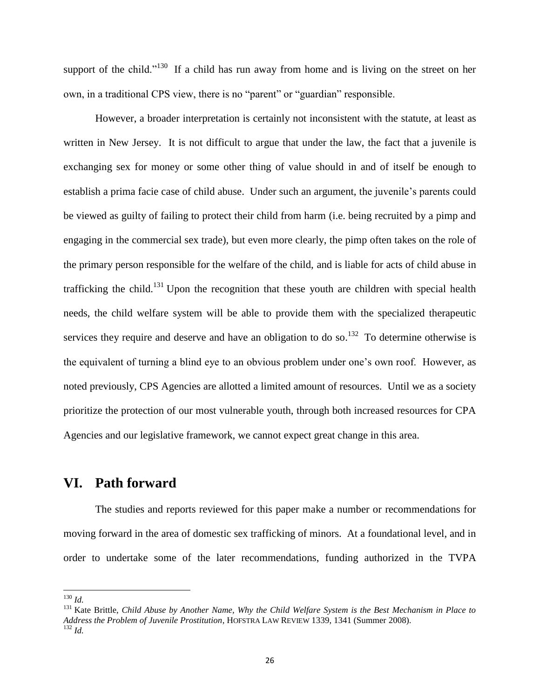support of the child."<sup>130</sup> If a child has run away from home and is living on the street on her own, in a traditional CPS view, there is no "parent" or "guardian" responsible.

However, a broader interpretation is certainly not inconsistent with the statute, at least as written in New Jersey. It is not difficult to argue that under the law, the fact that a juvenile is exchanging sex for money or some other thing of value should in and of itself be enough to establish a prima facie case of child abuse. Under such an argument, the juvenile's parents could be viewed as guilty of failing to protect their child from harm (i.e. being recruited by a pimp and engaging in the commercial sex trade), but even more clearly, the pimp often takes on the role of the primary person responsible for the welfare of the child, and is liable for acts of child abuse in trafficking the child.<sup>131</sup> Upon the recognition that these youth are children with special health needs, the child welfare system will be able to provide them with the specialized therapeutic services they require and deserve and have an obligation to do so.<sup>132</sup> To determine otherwise is the equivalent of turning a blind eye to an obvious problem under one's own roof. However, as noted previously, CPS Agencies are allotted a limited amount of resources. Until we as a society prioritize the protection of our most vulnerable youth, through both increased resources for CPA Agencies and our legislative framework, we cannot expect great change in this area.

## **VI. Path forward**

The studies and reports reviewed for this paper make a number or recommendations for moving forward in the area of domestic sex trafficking of minors. At a foundational level, and in order to undertake some of the later recommendations, funding authorized in the TVPA

<sup>130</sup> *Id.*

<sup>131</sup> Kate Brittle, *Child Abuse by Another Name, Why the Child Welfare System is the Best Mechanism in Place to Address the Problem of Juvenile Prostitution*, HOFSTRA LAW REVIEW 1339, 1341 (Summer 2008). <sup>132</sup> *Id.*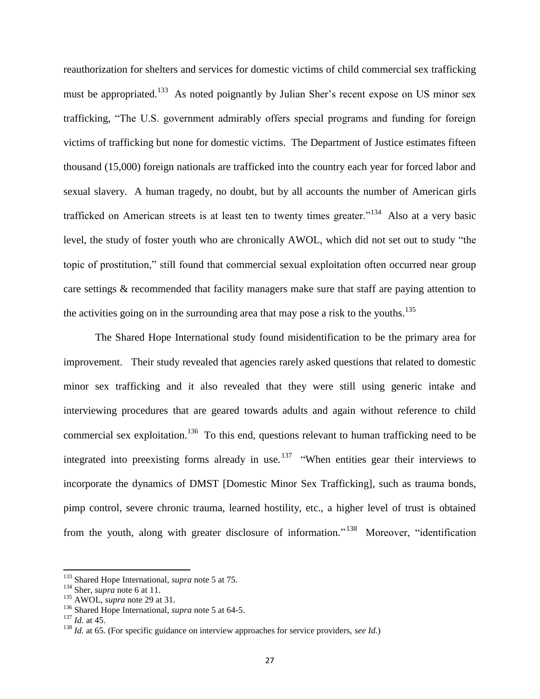reauthorization for shelters and services for domestic victims of child commercial sex trafficking must be appropriated.<sup>133</sup> As noted poignantly by Julian Sher's recent expose on US minor sex trafficking, "The U.S. government admirably offers special programs and funding for foreign victims of trafficking but none for domestic victims. The Department of Justice estimates fifteen thousand (15,000) foreign nationals are trafficked into the country each year for forced labor and sexual slavery. A human tragedy, no doubt, but by all accounts the number of American girls trafficked on American streets is at least ten to twenty times greater."<sup>134</sup> Also at a very basic level, the study of foster youth who are chronically AWOL, which did not set out to study "the topic of prostitution," still found that commercial sexual exploitation often occurred near group care settings & recommended that facility managers make sure that staff are paying attention to the activities going on in the surrounding area that may pose a risk to the youths.<sup>135</sup>

The Shared Hope International study found misidentification to be the primary area for improvement. Their study revealed that agencies rarely asked questions that related to domestic minor sex trafficking and it also revealed that they were still using generic intake and interviewing procedures that are geared towards adults and again without reference to child commercial sex exploitation.<sup>136</sup> To this end, questions relevant to human trafficking need to be integrated into preexisting forms already in use.<sup>137</sup> "When entities gear their interviews to incorporate the dynamics of DMST [Domestic Minor Sex Trafficking], such as trauma bonds, pimp control, severe chronic trauma, learned hostility, etc., a higher level of trust is obtained from the youth, along with greater disclosure of information."<sup>138</sup> Moreover, "identification

<sup>133</sup> Shared Hope International, *supra* note 5 at 75.

<sup>134</sup> Sher, *supra* note 6 at 11.

<sup>135</sup> AWOL, *supra* note 29 at 31.

<sup>136</sup> Shared Hope International, *supra* note 5 at 64-5.

<sup>137</sup> *Id.* at 45.

<sup>138</sup> *Id.* at 65. (For specific guidance on interview approaches for service providers, *see Id.*)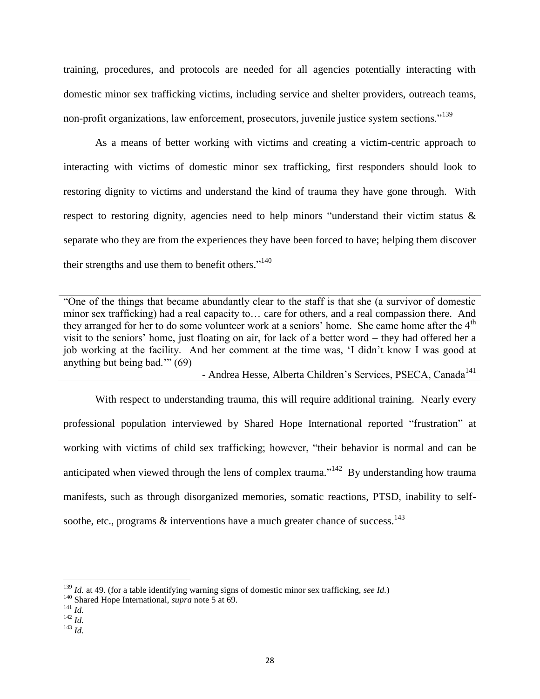training, procedures, and protocols are needed for all agencies potentially interacting with domestic minor sex trafficking victims, including service and shelter providers, outreach teams, non-profit organizations, law enforcement, prosecutors, juvenile justice system sections."<sup>139</sup>

As a means of better working with victims and creating a victim-centric approach to interacting with victims of domestic minor sex trafficking, first responders should look to restoring dignity to victims and understand the kind of trauma they have gone through. With respect to restoring dignity, agencies need to help minors "understand their victim status & separate who they are from the experiences they have been forced to have; helping them discover their strengths and use them to benefit others."<sup>140</sup>

"One of the things that became abundantly clear to the staff is that she (a survivor of domestic minor sex trafficking) had a real capacity to… care for others, and a real compassion there. And they arranged for her to do some volunteer work at a seniors' home. She came home after the  $4<sup>th</sup>$ visit to the seniors' home, just floating on air, for lack of a better word – they had offered her a job working at the facility. And her comment at the time was, 'I didn't know I was good at anything but being bad.'" (69)

- Andrea Hesse, Alberta Children's Services, PSECA, Canada<sup>141</sup>

With respect to understanding trauma, this will require additional training. Nearly every professional population interviewed by Shared Hope International reported "frustration" at working with victims of child sex trafficking; however, "their behavior is normal and can be anticipated when viewed through the lens of complex trauma."<sup>142</sup> By understanding how trauma manifests, such as through disorganized memories, somatic reactions, PTSD, inability to selfsoothe, etc., programs  $\&$  interventions have a much greater chance of success.<sup>143</sup>

<sup>139</sup> *Id.* at 49. (for a table identifying warning signs of domestic minor sex trafficking, *see Id.*)

<sup>140</sup> Shared Hope International, *supra* note 5 at 69.

<sup>141</sup> *Id.*

<sup>142</sup> *Id.*

<sup>143</sup> *Id.*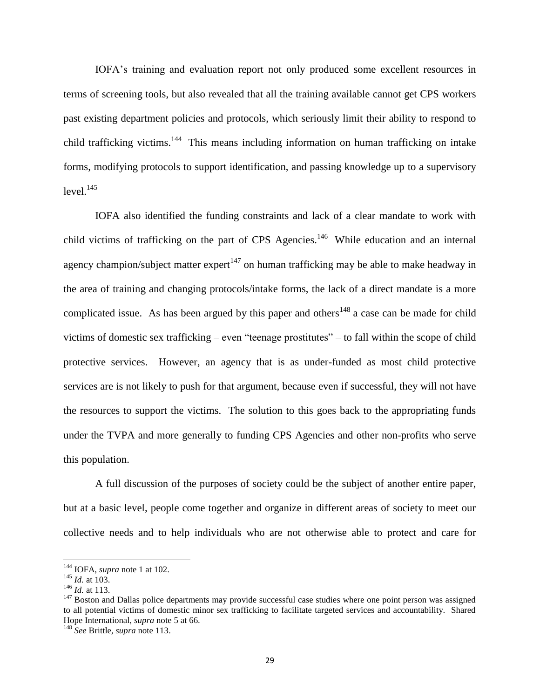IOFA's training and evaluation report not only produced some excellent resources in terms of screening tools, but also revealed that all the training available cannot get CPS workers past existing department policies and protocols, which seriously limit their ability to respond to child trafficking victims.<sup>144</sup> This means including information on human trafficking on intake forms, modifying protocols to support identification, and passing knowledge up to a supervisory level. $^{145}$ 

IOFA also identified the funding constraints and lack of a clear mandate to work with child victims of trafficking on the part of CPS Agencies.<sup>146</sup> While education and an internal agency champion/subject matter expert<sup>147</sup> on human trafficking may be able to make headway in the area of training and changing protocols/intake forms, the lack of a direct mandate is a more complicated issue. As has been argued by this paper and others<sup>148</sup> a case can be made for child victims of domestic sex trafficking – even "teenage prostitutes" – to fall within the scope of child protective services. However, an agency that is as under-funded as most child protective services are is not likely to push for that argument, because even if successful, they will not have the resources to support the victims. The solution to this goes back to the appropriating funds under the TVPA and more generally to funding CPS Agencies and other non-profits who serve this population.

A full discussion of the purposes of society could be the subject of another entire paper, but at a basic level, people come together and organize in different areas of society to meet our collective needs and to help individuals who are not otherwise able to protect and care for

<sup>144</sup> IOFA, *supra* note 1 at 102.

<sup>145</sup> *Id.* at 103.

<sup>146</sup> *Id.* at 113.

<sup>&</sup>lt;sup>147</sup> Boston and Dallas police departments may provide successful case studies where one point person was assigned to all potential victims of domestic minor sex trafficking to facilitate targeted services and accountability. Shared Hope International, *supra* note 5 at 66.

<sup>148</sup> *See* Brittle, *supra* note 113.